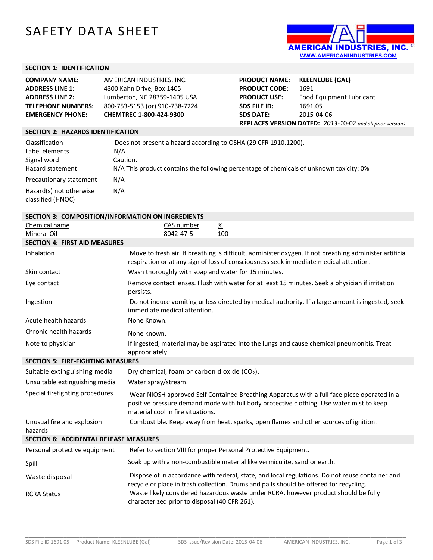# SAFETY DATA SHEET



# **SECTION 1: IDENTIFICATION**

| <b>COMPANY NAME:</b>      | AMERICAN INDUSTRIES, INC.      |
|---------------------------|--------------------------------|
| <b>ADDRESS LINE 1:</b>    | 4300 Kahn Drive, Box 1405      |
| <b>ADDRESS LINE 2:</b>    | Lumberton, NC 28359-1405 USA   |
| <b>TELEPHONE NUMBERS:</b> | 800-753-5153 (or) 910-738-7224 |
| <b>EMERGENCY PHONE:</b>   | CHEMTREC 1-800-424-9300        |

| <b>PRODUCT NAME:</b>                                      | <b>KLEENLUBE (GAL)</b>   |  |
|-----------------------------------------------------------|--------------------------|--|
| <b>PRODUCT CODE:</b>                                      | 1691                     |  |
| <b>PRODUCT USE:</b>                                       | Food Equipment Lubricant |  |
| <b>SDS FILE ID:</b>                                       | 1691.05                  |  |
| <b>SDS DATE:</b>                                          | 2015-04-06               |  |
| REPLACES VERSION DATED: 2013-10-02 and all prior versions |                          |  |

## **SECTION 2: HAZARDS IDENTIFICATION**

| Classification                                                          | Does not present a hazard according to OSHA (29 CFR 1910.1200).                         |
|-------------------------------------------------------------------------|-----------------------------------------------------------------------------------------|
| Label elements                                                          | N/A                                                                                     |
| Signal word                                                             | Caution.                                                                                |
| Hazard statement                                                        | N/A This product contains the following percentage of chemicals of unknown toxicity: 0% |
| Precautionary statement<br>Hazard(s) not otherwise<br>classified (HNOC) | N/A<br>N/A                                                                              |

| SECTION 3: COMPOSITION/INFORMATION ON INGREDIENTS |                                                                                                                                                                                                                              |  |  |
|---------------------------------------------------|------------------------------------------------------------------------------------------------------------------------------------------------------------------------------------------------------------------------------|--|--|
| Chemical name                                     | $\frac{\%}{\%}$<br>CAS number                                                                                                                                                                                                |  |  |
| Mineral Oil                                       | 100<br>8042-47-5                                                                                                                                                                                                             |  |  |
| <b>SECTION 4: FIRST AID MEASURES</b>              |                                                                                                                                                                                                                              |  |  |
| Inhalation                                        | Move to fresh air. If breathing is difficult, administer oxygen. If not breathing administer artificial<br>respiration or at any sign of loss of consciousness seek immediate medical attention.                             |  |  |
| Skin contact                                      | Wash thoroughly with soap and water for 15 minutes.                                                                                                                                                                          |  |  |
| Eye contact                                       | Remove contact lenses. Flush with water for at least 15 minutes. Seek a physician if irritation<br>persists.                                                                                                                 |  |  |
| Ingestion                                         | Do not induce vomiting unless directed by medical authority. If a large amount is ingested, seek<br>immediate medical attention.                                                                                             |  |  |
| Acute health hazards                              | None Known.                                                                                                                                                                                                                  |  |  |
| Chronic health hazards                            | None known.                                                                                                                                                                                                                  |  |  |
| Note to physician                                 | If ingested, material may be aspirated into the lungs and cause chemical pneumonitis. Treat<br>appropriately.                                                                                                                |  |  |
| <b>SECTION 5: FIRE-FIGHTING MEASURES</b>          |                                                                                                                                                                                                                              |  |  |
| Suitable extinguishing media                      | Dry chemical, foam or carbon dioxide (CO <sub>2</sub> ).                                                                                                                                                                     |  |  |
| Unsuitable extinguishing media                    | Water spray/stream.                                                                                                                                                                                                          |  |  |
| Special firefighting procedures                   | Wear NIOSH approved Self Contained Breathing Apparatus with a full face piece operated in a<br>positive pressure demand mode with full body protective clothing. Use water mist to keep<br>material cool in fire situations. |  |  |
| Unusual fire and explosion<br>hazards             | Combustible. Keep away from heat, sparks, open flames and other sources of ignition.                                                                                                                                         |  |  |
| <b>SECTION 6: ACCIDENTAL RELEASE MEASURES</b>     |                                                                                                                                                                                                                              |  |  |
| Personal protective equipment                     | Refer to section VIII for proper Personal Protective Equipment.                                                                                                                                                              |  |  |
| Spill                                             | Soak up with a non-combustible material like vermiculite, sand or earth.                                                                                                                                                     |  |  |
| Waste disposal                                    | Dispose of in accordance with federal, state, and local regulations. Do not reuse container and<br>recycle or place in trash collection. Drums and pails should be offered for recycling.                                    |  |  |
| <b>RCRA Status</b>                                | Waste likely considered hazardous waste under RCRA, however product should be fully<br>characterized prior to disposal (40 CFR 261).                                                                                         |  |  |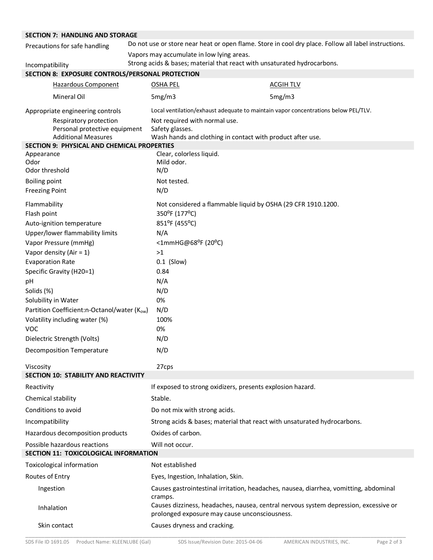| <b>SECTION 7: HANDLING AND STORAGE</b>                           |  |                                                                          |  |                                                                                                      |
|------------------------------------------------------------------|--|--------------------------------------------------------------------------|--|------------------------------------------------------------------------------------------------------|
| Precautions for safe handling                                    |  |                                                                          |  | Do not use or store near heat or open flame. Store in cool dry place. Follow all label instructions. |
|                                                                  |  | Vapors may accumulate in low lying areas.                                |  |                                                                                                      |
| Incompatibility                                                  |  | Strong acids & bases; material that react with unsaturated hydrocarbons. |  |                                                                                                      |
| SECTION 8: EXPOSURE CONTROLS/PERSONAL PROTECTION                 |  |                                                                          |  |                                                                                                      |
| <b>Hazardous Component</b>                                       |  | <b>OSHA PEL</b>                                                          |  | <b>ACGIH TLV</b>                                                                                     |
| Mineral Oil                                                      |  | 5mg/m3                                                                   |  | 5mg/m3                                                                                               |
| Appropriate engineering controls                                 |  |                                                                          |  | Local ventilation/exhaust adequate to maintain vapor concentrations below PEL/TLV.                   |
| Respiratory protection<br>Personal protective equipment          |  | Not required with normal use.<br>Safety glasses.                         |  |                                                                                                      |
| <b>Additional Measures</b>                                       |  | Wash hands and clothing in contact with product after use.               |  |                                                                                                      |
| <b>SECTION 9: PHYSICAL AND CHEMICAL PROPERTIES</b><br>Appearance |  | Clear, colorless liquid.                                                 |  |                                                                                                      |
| Odor                                                             |  | Mild odor.                                                               |  |                                                                                                      |
| Odor threshold                                                   |  | N/D                                                                      |  |                                                                                                      |
| <b>Boiling point</b>                                             |  | Not tested.                                                              |  |                                                                                                      |
| <b>Freezing Point</b>                                            |  | N/D                                                                      |  |                                                                                                      |
| Flammability                                                     |  |                                                                          |  | Not considered a flammable liquid by OSHA (29 CFR 1910.1200.                                         |
| Flash point                                                      |  | 350°F (177°C)                                                            |  |                                                                                                      |
| Auto-ignition temperature                                        |  | 851°F (455°C)                                                            |  |                                                                                                      |
| Upper/lower flammability limits                                  |  | N/A                                                                      |  |                                                                                                      |
| Vapor Pressure (mmHg)                                            |  | <1mmHG@68°F (20°C)                                                       |  |                                                                                                      |
| Vapor density (Air = $1$ )                                       |  | >1                                                                       |  |                                                                                                      |
| <b>Evaporation Rate</b>                                          |  | $0.1$ (Slow)                                                             |  |                                                                                                      |
| Specific Gravity (H20=1)                                         |  | 0.84                                                                     |  |                                                                                                      |
| pH                                                               |  | N/A                                                                      |  |                                                                                                      |
| Solids (%)                                                       |  | N/D                                                                      |  |                                                                                                      |
| Solubility in Water                                              |  | 0%                                                                       |  |                                                                                                      |
| Partition Coefficient:n-Octanol/water (Kow)                      |  | N/D<br>100%                                                              |  |                                                                                                      |
| Volatility including water (%)<br><b>VOC</b>                     |  | 0%                                                                       |  |                                                                                                      |
| Dielectric Strength (Volts)                                      |  | N/D                                                                      |  |                                                                                                      |
| <b>Decomposition Temperature</b>                                 |  | N/D                                                                      |  |                                                                                                      |
|                                                                  |  |                                                                          |  |                                                                                                      |
| Viscosity                                                        |  | 27cps                                                                    |  |                                                                                                      |
| <b>SECTION 10: STABILITY AND REACTIVITY</b>                      |  |                                                                          |  |                                                                                                      |
| Reactivity                                                       |  | If exposed to strong oxidizers, presents explosion hazard.               |  |                                                                                                      |
| Chemical stability                                               |  | Stable.                                                                  |  |                                                                                                      |
| Conditions to avoid                                              |  | Do not mix with strong acids.                                            |  |                                                                                                      |
| Incompatibility                                                  |  |                                                                          |  | Strong acids & bases; material that react with unsaturated hydrocarbons.                             |
| Hazardous decomposition products                                 |  | Oxides of carbon.                                                        |  |                                                                                                      |
| Possible hazardous reactions                                     |  | Will not occur.                                                          |  |                                                                                                      |
| SECTION 11: TOXICOLOGICAL INFORMATION                            |  |                                                                          |  |                                                                                                      |
| Toxicological information                                        |  | Not established                                                          |  |                                                                                                      |
| Routes of Entry                                                  |  | Eyes, Ingestion, Inhalation, Skin.                                       |  |                                                                                                      |
| Ingestion                                                        |  | cramps.                                                                  |  | Causes gastrointestinal irritation, headaches, nausea, diarrhea, vomitting, abdominal                |
| Inhalation                                                       |  | prolonged exposure may cause unconsciousness.                            |  | Causes dizziness, headaches, nausea, central nervous system depression, excessive or                 |
| Skin contact                                                     |  | Causes dryness and cracking.                                             |  |                                                                                                      |